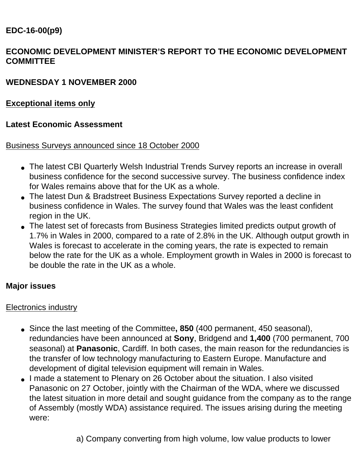## **EDC-16-00(p9)**

# **ECONOMIC DEVELOPMENT MINISTER'S REPORT TO THE ECONOMIC DEVELOPMENT COMMITTEE**

### **WEDNESDAY 1 NOVEMBER 2000**

#### **Exceptional items only**

#### **Latest Economic Assessment**

#### Business Surveys announced since 18 October 2000

- The latest CBI Quarterly Welsh Industrial Trends Survey reports an increase in overall business confidence for the second successive survey. The business confidence index for Wales remains above that for the UK as a whole.
- The latest Dun & Bradstreet Business Expectations Survey reported a decline in business confidence in Wales. The survey found that Wales was the least confident region in the UK.
- The latest set of forecasts from Business Strategies limited predicts output growth of 1.7% in Wales in 2000, compared to a rate of 2.8% in the UK. Although output growth in Wales is forecast to accelerate in the coming years, the rate is expected to remain below the rate for the UK as a whole. Employment growth in Wales in 2000 is forecast to be double the rate in the UK as a whole.

## **Major issues**

#### Electronics industry

- Since the last meeting of the Committee, 850 (400 permanent, 450 seasonal), redundancies have been announced at **Sony**, Bridgend and **1,400** (700 permanent, 700 seasonal) at **Panasonic**, Cardiff. In both cases, the main reason for the redundancies is the transfer of low technology manufacturing to Eastern Europe. Manufacture and development of digital television equipment will remain in Wales.
- I made a statement to Plenary on 26 October about the situation. I also visited Panasonic on 27 October, jointly with the Chairman of the WDA, where we discussed the latest situation in more detail and sought guidance from the company as to the range of Assembly (mostly WDA) assistance required. The issues arising during the meeting were: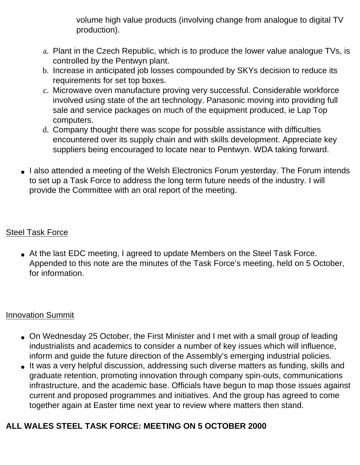volume high value products (involving change from analogue to digital TV production).

- a. Plant in the Czech Republic, which is to produce the lower value analogue TVs, is controlled by the Pentwyn plant.
- b. Increase in anticipated job losses compounded by SKYs decision to reduce its requirements for set top boxes.
- c. Microwave oven manufacture proving very successful. Considerable workforce involved using state of the art technology. Panasonic moving into providing full sale and service packages on much of the equipment produced, ie Lap Top computers.
- d. Company thought there was scope for possible assistance with difficulties encountered over its supply chain and with skills development. Appreciate key suppliers being encouraged to locate near to Pentwyn. WDA taking forward.
- I also attended a meeting of the Welsh Electronics Forum yesterday. The Forum intends to set up a Task Force to address the long term future needs of the industry. I will provide the Committee with an oral report of the meeting.

### Steel Task Force

• At the last EDC meeting, I agreed to update Members on the Steel Task Force. Appended to this note are the minutes of the Task Force's meeting, held on 5 October, for information.

## Innovation Summit

- On Wednesday 25 October, the First Minister and I met with a small group of leading industrialists and academics to consider a number of key issues which will influence, inform and guide the future direction of the Assembly's emerging industrial policies.
- It was a very helpful discussion, addressing such diverse matters as funding, skills and graduate retention, promoting innovation through company spin-outs, communications infrastructure, and the academic base. Officials have begun to map those issues against current and proposed programmes and initiatives. And the group has agreed to come together again at Easter time next year to review where matters then stand.

# **ALL WALES STEEL TASK FORCE: MEETING ON 5 OCTOBER 2000**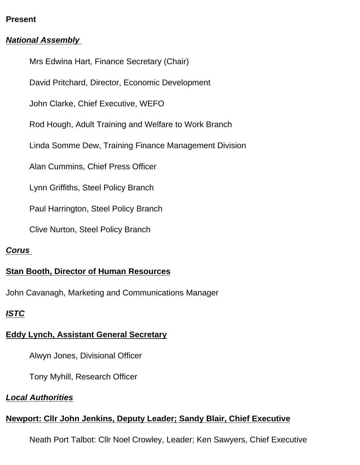#### **Present**

#### *National Assembly*

Mrs Edwina Hart, Finance Secretary (Chair) David Pritchard, Director, Economic Development

John Clarke, Chief Executive, WEFO

Rod Hough, Adult Training and Welfare to Work Branch

Linda Somme Dew, Training Finance Management Division

Alan Cummins, Chief Press Officer

Lynn Griffiths, Steel Policy Branch

Paul Harrington, Steel Policy Branch

Clive Nurton, Steel Policy Branch

#### *Corus*

## **Stan Booth, Director of Human Resources**

John Cavanagh, Marketing and Communications Manager

# *ISTC*

# **Eddy Lynch, Assistant General Secretary**

Alwyn Jones, Divisional Officer

Tony Myhill, Research Officer

# *Local Authorities*

# **Newport: Cllr John Jenkins, Deputy Leader; Sandy Blair, Chief Executive**

Neath Port Talbot: Cllr Noel Crowley, Leader; Ken Sawyers, Chief Executive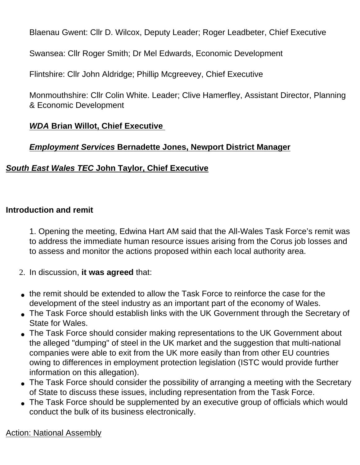Blaenau Gwent: Cllr D. Wilcox, Deputy Leader; Roger Leadbeter, Chief Executive

Swansea: Cllr Roger Smith; Dr Mel Edwards, Economic Development

Flintshire: Cllr John Aldridge; Phillip Mcgreevey, Chief Executive

Monmouthshire: Cllr Colin White. Leader; Clive Hamerfley, Assistant Director, Planning & Economic Development

## *WDA* **Brian Willot, Chief Executive**

## *Employment Services* **Bernadette Jones, Newport District Manager**

## *South East Wales TEC* **John Taylor, Chief Executive**

### **Introduction and remit**

1. Opening the meeting, Edwina Hart AM said that the All-Wales Task Force's remit was to address the immediate human resource issues arising from the Corus job losses and to assess and monitor the actions proposed within each local authority area.

- 2. In discussion, **it was agreed** that:
- the remit should be extended to allow the Task Force to reinforce the case for the development of the steel industry as an important part of the economy of Wales.
- The Task Force should establish links with the UK Government through the Secretary of State for Wales.
- The Task Force should consider making representations to the UK Government about the alleged "dumping" of steel in the UK market and the suggestion that multi-national companies were able to exit from the UK more easily than from other EU countries owing to differences in employment protection legislation (ISTC would provide further information on this allegation).
- The Task Force should consider the possibility of arranging a meeting with the Secretary of State to discuss these issues, including representation from the Task Force.
- The Task Force should be supplemented by an executive group of officials which would conduct the bulk of its business electronically.

Action: National Assembly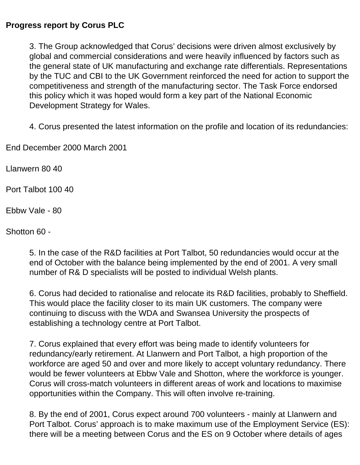### **Progress report by Corus PLC**

3. The Group acknowledged that Corus' decisions were driven almost exclusively by global and commercial considerations and were heavily influenced by factors such as the general state of UK manufacturing and exchange rate differentials. Representations by the TUC and CBI to the UK Government reinforced the need for action to support the competitiveness and strength of the manufacturing sector. The Task Force endorsed this policy which it was hoped would form a key part of the National Economic Development Strategy for Wales.

4. Corus presented the latest information on the profile and location of its redundancies:

End December 2000 March 2001

Llanwern 80 40

Port Talbot 100 40

Ebbw Vale - 80

Shotton 60 -

5. In the case of the R&D facilities at Port Talbot, 50 redundancies would occur at the end of October with the balance being implemented by the end of 2001. A very small number of R& D specialists will be posted to individual Welsh plants.

6. Corus had decided to rationalise and relocate its R&D facilities, probably to Sheffield. This would place the facility closer to its main UK customers. The company were continuing to discuss with the WDA and Swansea University the prospects of establishing a technology centre at Port Talbot.

7. Corus explained that every effort was being made to identify volunteers for redundancy/early retirement. At Llanwern and Port Talbot, a high proportion of the workforce are aged 50 and over and more likely to accept voluntary redundancy. There would be fewer volunteers at Ebbw Vale and Shotton, where the workforce is younger. Corus will cross-match volunteers in different areas of work and locations to maximise opportunities within the Company. This will often involve re-training.

8. By the end of 2001, Corus expect around 700 volunteers - mainly at Llanwern and Port Talbot. Corus' approach is to make maximum use of the Employment Service (ES): there will be a meeting between Corus and the ES on 9 October where details of ages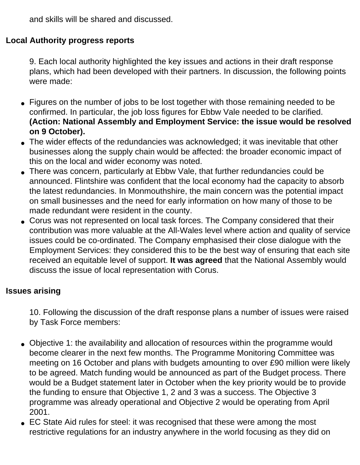and skills will be shared and discussed.

### **Local Authority progress reports**

9. Each local authority highlighted the key issues and actions in their draft response plans, which had been developed with their partners. In discussion, the following points were made:

- Figures on the number of jobs to be lost together with those remaining needed to be confirmed. In particular, the job loss figures for Ebbw Vale needed to be clarified. **(Action: National Assembly and Employment Service: the issue would be resolved on 9 October).**
- The wider effects of the redundancies was acknowledged; it was inevitable that other businesses along the supply chain would be affected: the broader economic impact of this on the local and wider economy was noted.
- There was concern, particularly at Ebbw Vale, that further redundancies could be announced. Flintshire was confident that the local economy had the capacity to absorb the latest redundancies. In Monmouthshire, the main concern was the potential impact on small businesses and the need for early information on how many of those to be made redundant were resident in the county.
- Corus was not represented on local task forces. The Company considered that their contribution was more valuable at the All-Wales level where action and quality of service issues could be co-ordinated. The Company emphasised their close dialogue with the Employment Services: they considered this to be the best way of ensuring that each site received an equitable level of support. **It was agreed** that the National Assembly would discuss the issue of local representation with Corus.

## **Issues arising**

10. Following the discussion of the draft response plans a number of issues were raised by Task Force members:

- Objective 1: the availability and allocation of resources within the programme would become clearer in the next few months. The Programme Monitoring Committee was meeting on 16 October and plans with budgets amounting to over £90 million were likely to be agreed. Match funding would be announced as part of the Budget process. There would be a Budget statement later in October when the key priority would be to provide the funding to ensure that Objective 1, 2 and 3 was a success. The Objective 3 programme was already operational and Objective 2 would be operating from April 2001.
- EC State Aid rules for steel: it was recognised that these were among the most restrictive regulations for an industry anywhere in the world focusing as they did on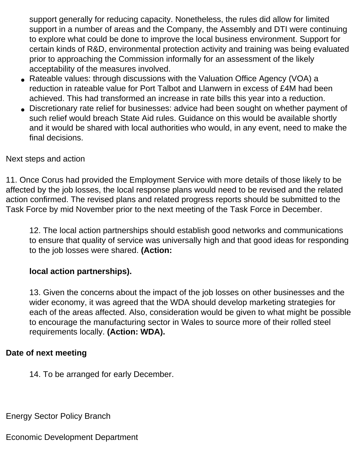support generally for reducing capacity. Nonetheless, the rules did allow for limited support in a number of areas and the Company, the Assembly and DTI were continuing to explore what could be done to improve the local business environment. Support for certain kinds of R&D, environmental protection activity and training was being evaluated prior to approaching the Commission informally for an assessment of the likely acceptability of the measures involved.

- Rateable values: through discussions with the Valuation Office Agency (VOA) a reduction in rateable value for Port Talbot and Llanwern in excess of £4M had been achieved. This had transformed an increase in rate bills this year into a reduction.
- Discretionary rate relief for businesses: advice had been sought on whether payment of such relief would breach State Aid rules. Guidance on this would be available shortly and it would be shared with local authorities who would, in any event, need to make the final decisions.

### Next steps and action

11. Once Corus had provided the Employment Service with more details of those likely to be affected by the job losses, the local response plans would need to be revised and the related action confirmed. The revised plans and related progress reports should be submitted to the Task Force by mid November prior to the next meeting of the Task Force in December.

12. The local action partnerships should establish good networks and communications to ensure that quality of service was universally high and that good ideas for responding to the job losses were shared. **(Action:** 

## **local action partnerships).**

13. Given the concerns about the impact of the job losses on other businesses and the wider economy, it was agreed that the WDA should develop marketing strategies for each of the areas affected. Also, consideration would be given to what might be possible to encourage the manufacturing sector in Wales to source more of their rolled steel requirements locally. **(Action: WDA).**

## **Date of next meeting**

14. To be arranged for early December.

Energy Sector Policy Branch

Economic Development Department